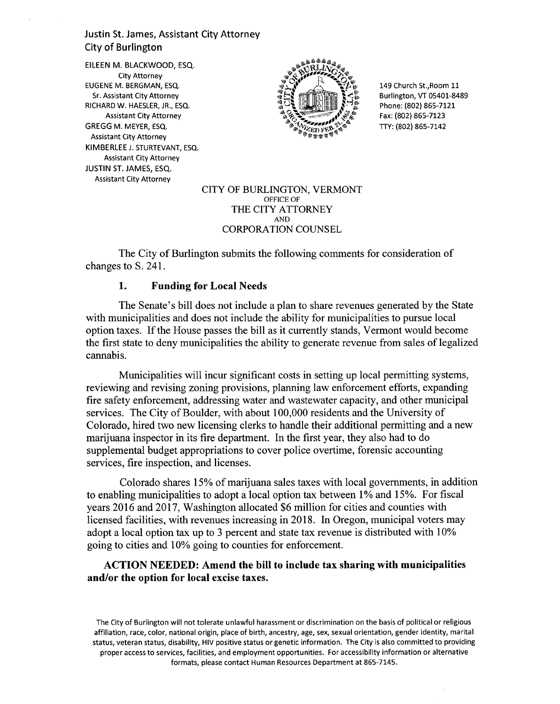# Justin St. James, Assistant City Attorney City of Burlington

EILEEN M. BLACKWOOD, ESQ. City Attorney EUGENE M. BERGMAN, ESQ. Sr. Assistant City Attorney RICHARD W. HAESLER, JR., ESQ. Assistant City Attorney GREGG M. MEYER, ESQ. Assistant City Attorney KIMBERLEE J. STURTEVANT, ESQ. Assistant City Attorney JUSTIN ST. JAMES, ESQ. Assistant City Attorney



149 Church St.,Room 11 Burlington, VT 05401-8489 Phone: (802) 865-7121 Fax: (802) 865-7123 TTY: (802) 865-7142

#### CITY OF BURLINGTON, VERMONT OFFICE OF THE CITY ATTORNEY AND CORPORATION COUNSEL

The City of Burlington submits the following comments for consideration of changes to S. 241.

#### **1. Funding for Local Needs**

The Senate's bill does not include a plan to share revenues generated by the State with municipalities and does not include the ability for municipalities to pursue local option taxes. If the House passes the bill as it currently stands, Vermont would become the first state to deny municipalities the ability to generate revenue from sales of legalized cannabis.

Municipalities will incur significant costs in setting up local permitting systems, reviewing and revising zoning provisions, planning law enforcement efforts, expanding fire safety enforcement, addressing water and wastewater capacity, and other municipal services. The City of Boulder, with about 100,000 residents and the University of Colorado, hired two new licensing clerks to handle their additional permitting and a new marijuana inspector in its fire department. In the first year, they also had to do supplemental budget appropriations to cover police overtime, forensic accounting services, fire inspection, and licenses.

Colorado shares 15% of marijuana sales taxes with local governments, in addition to enabling municipalities to adopt a local option tax between 1% and 15%. For fiscal years 2016 and 2017, Washington allocated \$6 million for cities and counties with licensed facilities, with revenues increasing in 2018. In Oregon, municipal voters may adopt a local option tax up to 3 percent and state tax revenue is distributed with 10% going to cities and 10% going to counties for enforcement.

# **ACTION NEEDED: Amend the bill to include tax sharing with municipalities and/or the option for local excise taxes.**

The City of Burlington will not tolerate unlawful harassment or discrimination on the basis of political or religious affiliation, race, color, national origin, place of birth, ancestry, age, sex, sexual orientation, gender identity, marital status, veteran status, disability, HIV positive status or genetic information. The City is also committed to providing proper access to services, facilities, and employment opportunities. For accessibility information or alternative formats, please contact Human Resources Department at 865-7145.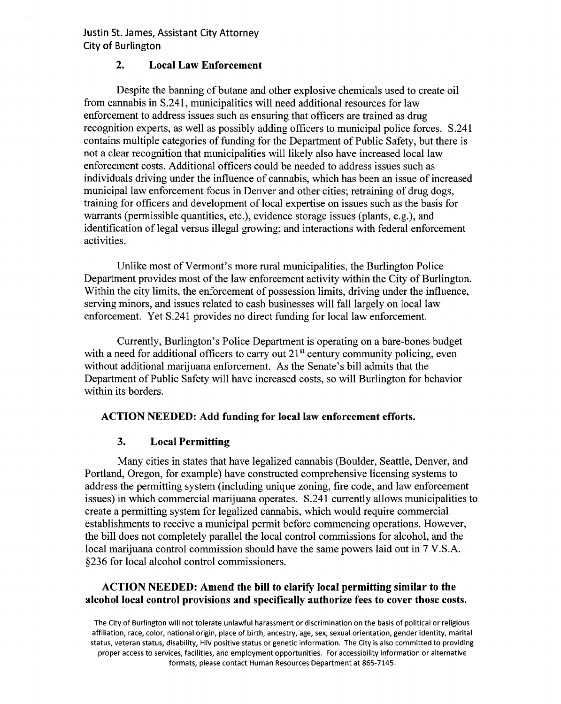**Justin St. James, Assistant City Attorney City of Burlington** 

# **2. Local Law Enforcement**

Despite the banning of butane and other explosive chemicals used to create oil from cannabis in S.241, municipalities will need additional resources for law enforcement to address issues such as ensuring that officers are trained as drug recognition experts, as well as possibly adding officers to municipal police forces. S.241 contains multiple categories of funding for the Department of Public Safety, but there is not a clear recognition that municipalities will likely also have increased local law enforcement costs. Additional officers could be needed to address issues such as individuals driving under the influence of cannabis, which has been an issue of increased municipal law enforcement focus in Denver and other cities; retraining of drug dogs, training for officers and development of local expertise on issues such as the basis for warrants (permissible quantities, etc.), evidence storage issues (plants, e.g.), and identification of legal versus illegal growing; and interactions with federal enforcement activities.

Unlike most of Vermont's more rural municipalities, the Burlington Police Department provides most of the law enforcement activity within the City of Burlington. Within the city limits, the enforcement of possession limits, driving under the influence, serving minors, and issues related to cash businesses will fall largely on local law enforcement. Yet S.241 provides no direct funding for local law enforcement.

Currently, Burlington's Police Department is operating on a bare-bones budget with a need for additional officers to carry out  $21<sup>st</sup>$  century community policing, even without additional marijuana enforcement. As the Senate's bill admits that the Department of Public Safety will have increased costs, so will Burlington for behavior within its borders.

#### **ACTION NEEDED: Add funding for local law enforcement efforts.**

# **3. Local Permitting**

Many cities in states that have legalized cannabis (Boulder, Seattle, Denver, and Portland, Oregon, for example) have constructed comprehensive licensing systems to address the permitting system (including unique zoning, fire code, and law enforcement issues) in which commercial marijuana operates. S.241 currently allows municipalities to create a permitting system for legalized cannabis, which would require commercial establishments to receive a municipal permit before commencing operations. However, the bill does not completely parallel the local control commissions for alcohol, and the local marijuana control commission should have the same powers laid out in 7 V.S.A. §236 for local alcohol control commissioners.

# **ACTION NEEDED: Amend the bill to clarify local permitting similar to the alcohol local control provisions and specifically authorize fees to cover those costs.**

The City of Burlington will not tolerate unlawful harassment or discrimination on the basis of political or religious affiliation, race, color, national origin, place of birth, ancestry, age, sex, sexual orientation, gender identity, marital status, veteran status, disability, HIV positive status or genetic information. The City is also committed to providing proper access to services, facilities, and employment opportunities. For accessibility information or alternative formats, please contact Human Resources Department at 865-7145.